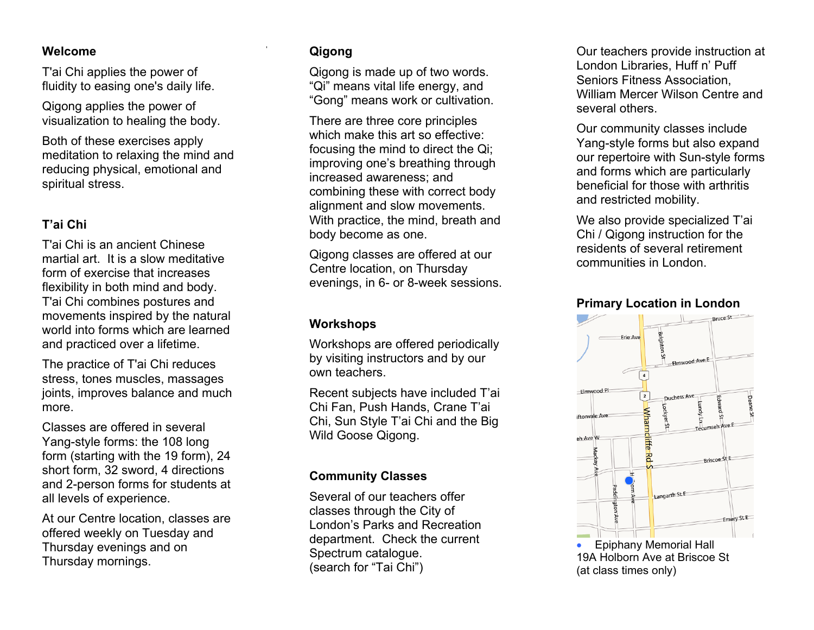#### **Welcome**

T'ai Chi applies the power of fluidity to easing one's daily life.

Qigong applies the power of visualization to healing the body.

Both of these exercises apply meditation to relaxing the mind and reducing physical, emotional and spiritual stress.

## **T'ai Chi**

T'ai Chi is an ancient Chinese martial art. It is a slow meditative form of exercise that increases flexibility in both mind and body. T'ai Chi combines postures and movements inspired by the natural world into forms which are learned and practiced over a lifetime.

The practice of T'ai Chi reduces stress, tones muscles, massages joints, improves balance and much more.

Classes are offered in several Yang-style forms: the 108 long form (starting with the 19 form), 24 short form, 32 sword, 4 directions and 2-person forms for students at all levels of experience.

At our Centre location, classes are offered weekly on Tuesday and Thursday evenings and on Thursday mornings.

## **Qigong**

Qigong is made up of two words. "Qi" means vital life energy, and "Gong" means work or cultivation.

There are three core principles which make this art so effective: focusing the mind to direct the Qi; improving one's breathing through increased awareness; and combining these with correct body alignment and slow movements. With practice, the mind, breath and body become as one.

Qigong classes are offered at our Centre location, on Thursday evenings, in 6- or 8-week sessions.

### **Workshops**

Workshops are offered periodically by visiting instructors and by our own teachers.

Recent subjects have included T'ai Chi Fan, Push Hands, Crane T'ai Chi, Sun Style T'ai Chi and the Big Wild Goose Qigong.

## **Community Classes**

Several of our teachers offer classes through the City of London's Parks and Recreation department. Check the current Spectrum catalogue. (search for "Tai Chi")

Our teachers provide instruction at London Libraries, Huff n' Puff Seniors Fitness Association, William Mercer Wilson Centre and several others.

Our community classes include Yang-style forms but also expand our repertoire with Sun-style forms and forms which are particularly beneficial for those with arthritis and restricted mobility.

We also provide specialized T'ai Chi / Qigong instruction for the residents of several retirement communities in London.

### **Primary Location in London**